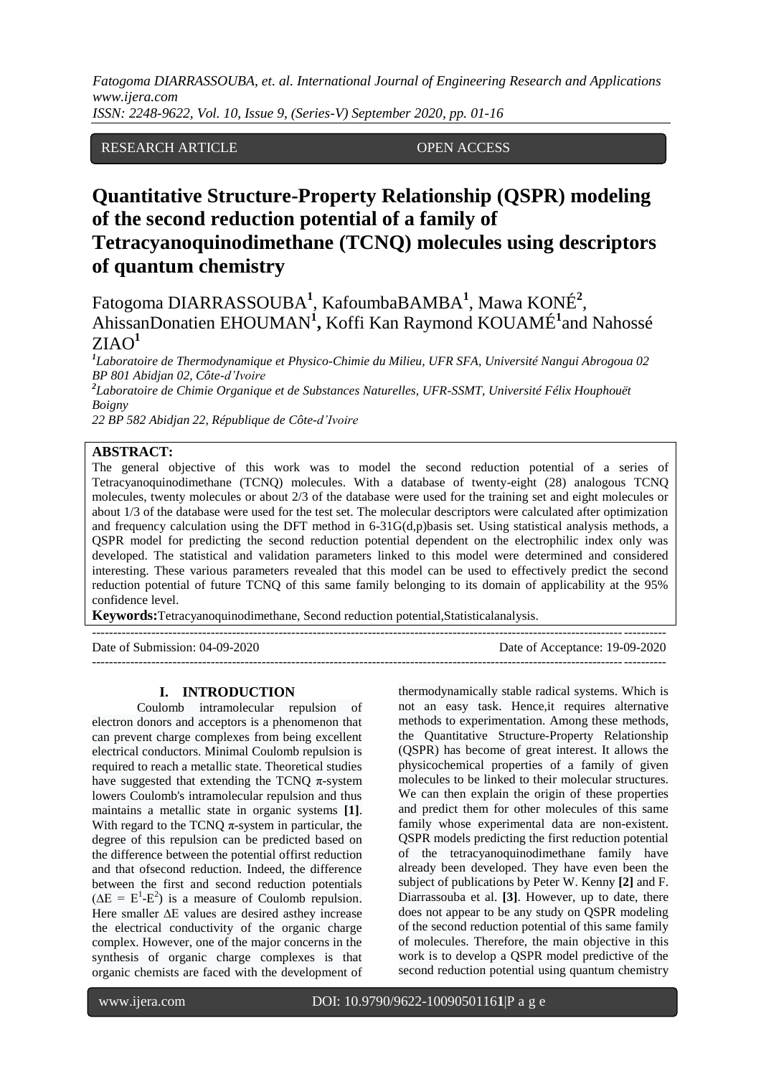*ISSN: 2248-9622, Vol. 10, Issue 9, (Series-V) September 2020, pp. 01-16*

RESEARCH ARTICLE OPEN ACCESS

# **Quantitative Structure-Property Relationship (QSPR) modeling of the second reduction potential of a family of Tetracyanoquinodimethane (TCNQ) molecules using descriptors of quantum chemistry**

Fatogoma DIARRASSOUBA**<sup>1</sup>** , KafoumbaBAMBA**<sup>1</sup>** , Mawa KONÉ**<sup>2</sup>** , AhissanDonatien EHOUMAN**<sup>1</sup> ,** Koffi Kan Raymond KOUAMÉ**<sup>1</sup>** and Nahossé ZIAO**<sup>1</sup>**

*1 Laboratoire de Thermodynamique et Physico-Chimie du Milieu, UFR SFA, Université Nangui Abrogoua 02 BP 801 Abidjan 02, Côte-d'Ivoire*

*2 Laboratoire de Chimie Organique et de Substances Naturelles, UFR-SSMT, Université Félix Houphouët Boigny*

*22 BP 582 Abidjan 22, République de Côte-d'Ivoire*

# **ABSTRACT:**

The general objective of this work was to model the second reduction potential of a series of Tetracyanoquinodimethane (TCNQ) molecules. With a database of twenty-eight (28) analogous TCNQ molecules, twenty molecules or about 2/3 of the database were used for the training set and eight molecules or about 1/3 of the database were used for the test set. The molecular descriptors were calculated after optimization and frequency calculation using the DFT method in 6-31G(d,p)basis set. Using statistical analysis methods, a QSPR model for predicting the second reduction potential dependent on the electrophilic index only was developed. The statistical and validation parameters linked to this model were determined and considered interesting. These various parameters revealed that this model can be used to effectively predict the second reduction potential of future TCNQ of this same family belonging to its domain of applicability at the 95% confidence level.

**Keywords:**Tetracyanoquinodimethane, Second reduction potential,Statisticalanalysis.

--------------------------------------------------------------------------------------------------------------------------------------- Date of Submission: 04-09-2020 Date of Acceptance: 19-09-2020 ---------------------------------------------------------------------------------------------------------------------------------------

# **I. INTRODUCTION**

Coulomb intramolecular repulsion of electron donors and acceptors is a phenomenon that can prevent charge complexes from being excellent electrical conductors. Minimal Coulomb repulsion is required to reach a metallic state. Theoretical studies have suggested that extending the TCNQ  $\pi$ -system lowers Coulomb's intramolecular repulsion and thus maintains a metallic state in organic systems **[1]**. With regard to the TCNQ  $\pi$ -system in particular, the degree of this repulsion can be predicted based on the difference between the potential offirst reduction and that ofsecond reduction. Indeed, the difference between the first and second reduction potentials  $(\Delta E = E^{1} - E^{2})$  is a measure of Coulomb repulsion. Here smaller ∆E values are desired asthey increase the electrical conductivity of the organic charge complex. However, one of the major concerns in the synthesis of organic charge complexes is that organic chemists are faced with the development of

thermodynamically stable radical systems. Which is not an easy task. Hence,it requires alternative methods to experimentation. Among these methods, the Quantitative Structure-Property Relationship (QSPR) has become of great interest. It allows the physicochemical properties of a family of given molecules to be linked to their molecular structures. We can then explain the origin of these properties and predict them for other molecules of this same family whose experimental data are non-existent. QSPR models predicting the first reduction potential of the tetracyanoquinodimethane family have already been developed. They have even been the subject of publications by Peter W. Kenny **[2]** and F. Diarrassouba et al. **[3]**. However, up to date, there does not appear to be any study on QSPR modeling of the second reduction potential of this same family of molecules. Therefore, the main objective in this work is to develop a QSPR model predictive of the second reduction potential using quantum chemistry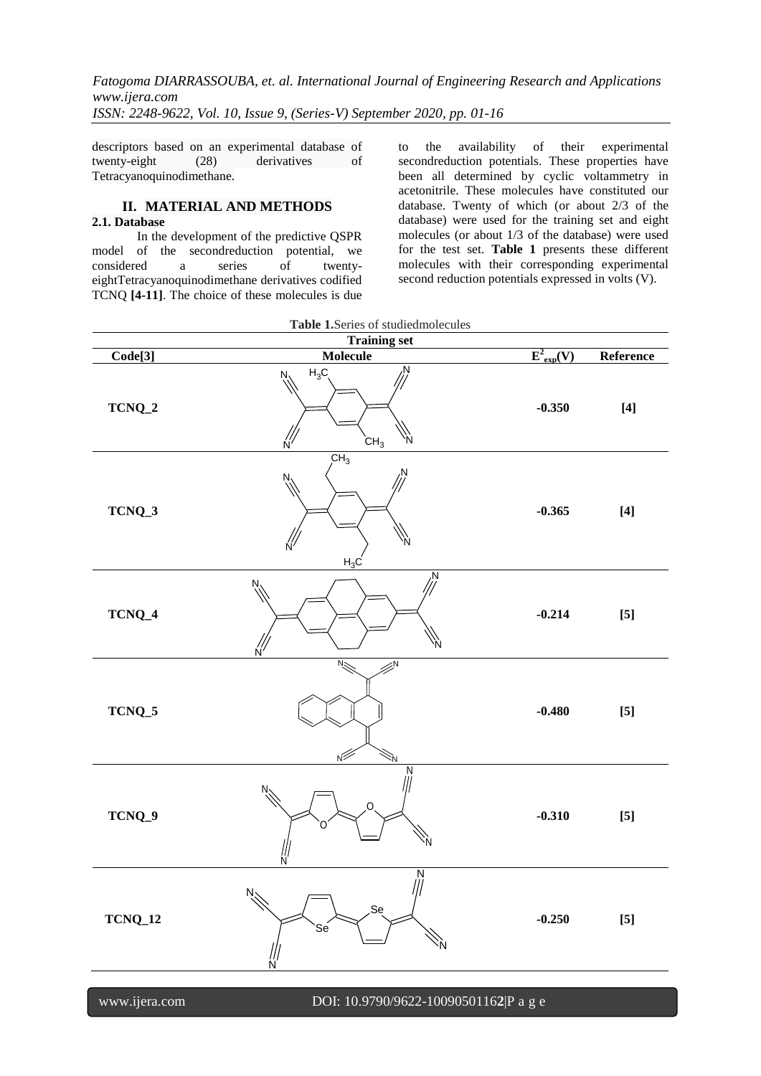descriptors based on an experimental database of twenty-eight (28) derivatives of Tetracyanoquinodimethane.

# **II. MATERIAL AND METHODS 2.1. Database**

In the development of the predictive QSPR model of the secondreduction potential, we considered a series of twentyeightTetracyanoquinodimethane derivatives codified TCNQ **[4-11]**. The choice of these molecules is due to the availability of their experimental secondreduction potentials. These properties have been all determined by cyclic voltammetry in acetonitrile. These molecules have constituted our database. Twenty of which (or about 2/3 of the database) were used for the training set and eight molecules (or about 1/3 of the database) were used for the test set. **Table 1** presents these different molecules with their corresponding experimental second reduction potentials expressed in volts (V).

| Table 1.Series of studied molecules     |                                                               |                            |                                                                                                                                                                                                                                                                                                                                                                                                                                                                                                                                                                                                                                                                                                                                                                      |
|-----------------------------------------|---------------------------------------------------------------|----------------------------|----------------------------------------------------------------------------------------------------------------------------------------------------------------------------------------------------------------------------------------------------------------------------------------------------------------------------------------------------------------------------------------------------------------------------------------------------------------------------------------------------------------------------------------------------------------------------------------------------------------------------------------------------------------------------------------------------------------------------------------------------------------------|
|                                         | <b>Training set</b><br><b>Molecule</b>                        |                            |                                                                                                                                                                                                                                                                                                                                                                                                                                                                                                                                                                                                                                                                                                                                                                      |
| $\overline{\text{Code}[3]}$<br>$TCNQ_2$ | N<br>$H_3C$<br>Ņ.<br>CH <sub>3</sub><br>N                     | $E^2_{exp}(V)$<br>$-0.350$ | Reference<br>$[4]$                                                                                                                                                                                                                                                                                                                                                                                                                                                                                                                                                                                                                                                                                                                                                   |
| TCNQ_3                                  | CH <sub>3</sub><br>N.<br>$H_3C$                               | $-0.365$                   | $[4] \centering% \includegraphics[width=1\textwidth]{images/TransY.pdf} \caption{The first two different values of $d$ and $d$ are the same as in Figure \ref{fig:map}(a) and the second two different values of $d$ are the same as in Figure \ref{fig:map}(b) and the third two different values of $d$ are the same as in Figure \ref{fig:map}(c) and the third two different values of $d$ are the same as in Figure \ref{fig:map}(d) and the third two different values of $d$ are the same as in Figure \ref{fig:map}(e) and the third two different values of $d$ are the same as inFigure \ref{fig:map}(d) and the third two different values of $d$ are the same as inFigure \ref{fig:map}(e) and the third two different values of $d$ are the same as in$ |
| TCNQ_4                                  | Ņ<br>N.<br>N<br>N                                             | $-0.214$                   | $[5]$                                                                                                                                                                                                                                                                                                                                                                                                                                                                                                                                                                                                                                                                                                                                                                |
| $TCNQ_5$                                | $N_{\sim}$<br>۵Ń<br>$\sqrt{2}$<br>۱Ń                          | $-0.480$                   | $[5]$                                                                                                                                                                                                                                                                                                                                                                                                                                                                                                                                                                                                                                                                                                                                                                |
| TCNQ_9                                  | Ν<br>N.<br>O<br>N                                             | $-0.310$                   | $[5]$                                                                                                                                                                                                                                                                                                                                                                                                                                                                                                                                                                                                                                                                                                                                                                |
| <b>TCNQ_12</b>                          | $\overline{\frac{N}{N}}$<br>$N_{\sim}$<br>Sę<br>Sé<br>١Ń<br>Ń | $-0.250$                   | $[5]$                                                                                                                                                                                                                                                                                                                                                                                                                                                                                                                                                                                                                                                                                                                                                                |
| www.ijera.com                           | DOI: 10.9790/9622-10090501162 P a g e                         |                            |                                                                                                                                                                                                                                                                                                                                                                                                                                                                                                                                                                                                                                                                                                                                                                      |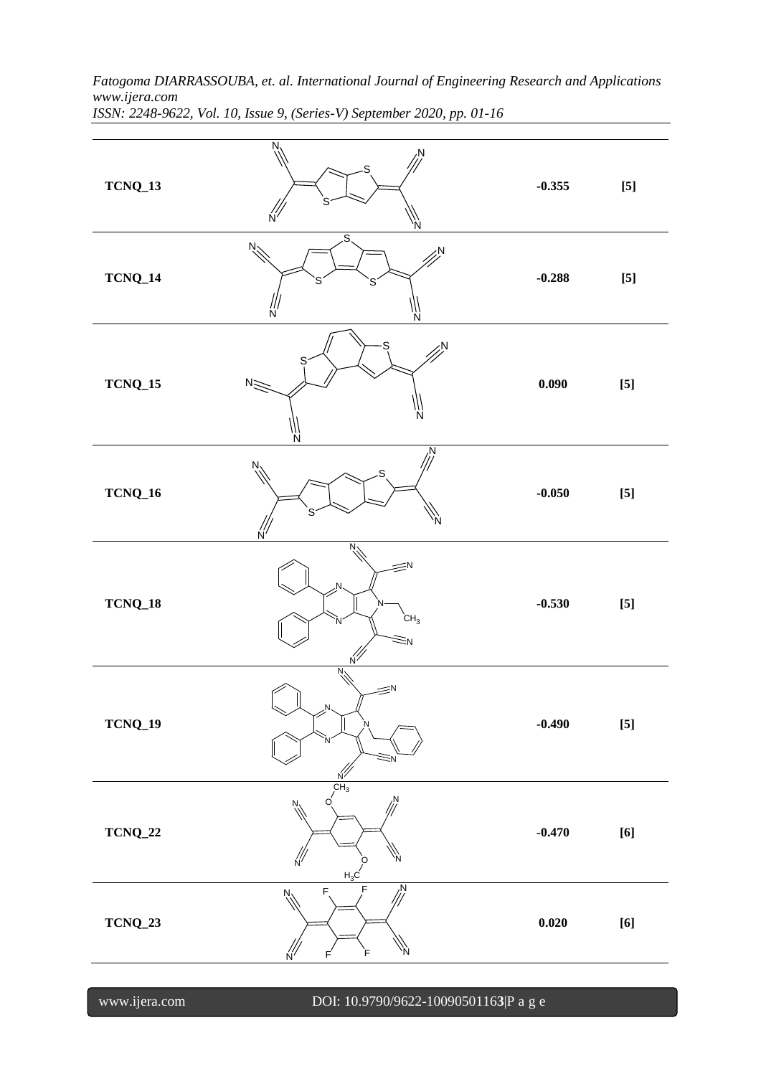**TCNQ\_13** S S N N N N **-0.355 [5] TCNQ\_14** S S N N S N N **-0.288 [5] TCNQ\_15** S N N S  $N \leq$ N **0.090 [5] TCNQ\_16** S N N S N N **-0.050 [5] TCNQ\_18** N N N N.  $\equiv$ N  $\equiv$ <sup>N</sup> N  $CH<sub>3</sub>$ **-0.530 [5] TCNQ\_19** N N N N<sup>2</sup> N  $\equiv$ N Ņ. **-0.490 [5] TCNQ\_22** N  $\sqrt{\frac{2}{N}}$ N  $\circ$  N  $\rm CH_{3}$ O  $H_2$ **-0.470 [6] TCNQ\_23**  $\frac{N}{N}$ N N F  $F$  N F F F **0.020 [6]**

*Fatogoma DIARRASSOUBA, et. al. International Journal of Engineering Research and Applications www.ijera.com ISSN: 2248-9622, Vol. 10, Issue 9, (Series-V) September 2020, pp. 01-16*

www.ijera.com DOI: 10.9790/9622-1009050116**3**|P a g e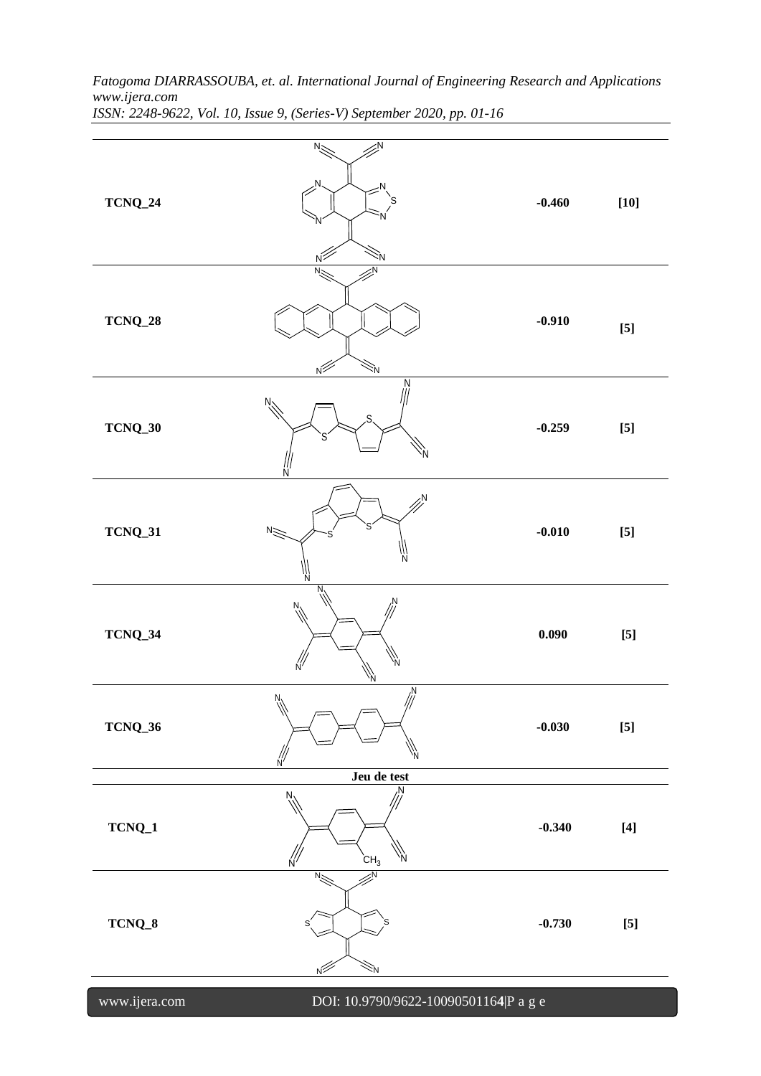| $TCNQ_24$      | N.                                                        | $-0.460$ | $[10]$                                                                                                                                                                                                                                                                                                                                                                                                                                                                                                                                                                                                                                                                                                                                                               |
|----------------|-----------------------------------------------------------|----------|----------------------------------------------------------------------------------------------------------------------------------------------------------------------------------------------------------------------------------------------------------------------------------------------------------------------------------------------------------------------------------------------------------------------------------------------------------------------------------------------------------------------------------------------------------------------------------------------------------------------------------------------------------------------------------------------------------------------------------------------------------------------|
| $TCNQ\_28$     |                                                           | $-0.910$ | $[5] % \includegraphics[width=0.9\columnwidth]{figures/fig_10.pdf} \caption{The 3D (black) model for a different region of the parameter 10^{-4}~\rm{erg}\,s for the same region.} \label{fig:2}$                                                                                                                                                                                                                                                                                                                                                                                                                                                                                                                                                                    |
| $TCNQ_30$      | N<br>Ν                                                    | $-0.259$ | $[5]$                                                                                                                                                                                                                                                                                                                                                                                                                                                                                                                                                                                                                                                                                                                                                                |
| <b>TCNQ_31</b> | Ν<br>$N \geq$<br>Ν<br>'II<br>N                            | $-0.010$ | $\left[ 5\right]$                                                                                                                                                                                                                                                                                                                                                                                                                                                                                                                                                                                                                                                                                                                                                    |
| TCNQ_34        | Ν<br>Ņ                                                    | 0.090    | $[5]$                                                                                                                                                                                                                                                                                                                                                                                                                                                                                                                                                                                                                                                                                                                                                                |
| $TCNQ_36$      | $\mathbb{Z}^N$<br>$N_{\lambda}$<br>'N<br>Ń<br>Jeu de test | $-0.030$ | $[5]$                                                                                                                                                                                                                                                                                                                                                                                                                                                                                                                                                                                                                                                                                                                                                                |
| $TCNQ_1$       | N.<br>Ņ.<br>CH <sub>3</sub><br>'N<br>$\frac{7}{10}$       | $-0.340$ | $[4] \centering% \includegraphics[width=1\textwidth]{images/TransY.pdf} \caption{The first two different values of $d$ and $d$ are the same as in Figure \ref{fig:map}(a) and the second two different values of $d$ are the same as in Figure \ref{fig:map}(b) and the third two different values of $d$ are the same as in Figure \ref{fig:map}(c) and the third two different values of $d$ are the same as in Figure \ref{fig:map}(d) and the third two different values of $d$ are the same as in Figure \ref{fig:map}(e) and the third two different values of $d$ are the same as inFigure \ref{fig:map}(d) and the third two different values of $d$ are the same as inFigure \ref{fig:map}(e) and the third two different values of $d$ are the same as in$ |
| TCNQ_8         | 'N<br>$N_{\sim}$<br>s<br>$N^2$<br>₹Ņ                      | $-0.730$ | $[5]$                                                                                                                                                                                                                                                                                                                                                                                                                                                                                                                                                                                                                                                                                                                                                                |
| www.ijera.com  | DOI: 10.9790/9622-10090501164 P a g e                     |          |                                                                                                                                                                                                                                                                                                                                                                                                                                                                                                                                                                                                                                                                                                                                                                      |

*www.ijera.com ISSN: 2248-9622, Vol. 10, Issue 9, (Series-V) September 2020, pp. 01-16*

*Fatogoma DIARRASSOUBA, et. al. International Journal of Engineering Research and Applications*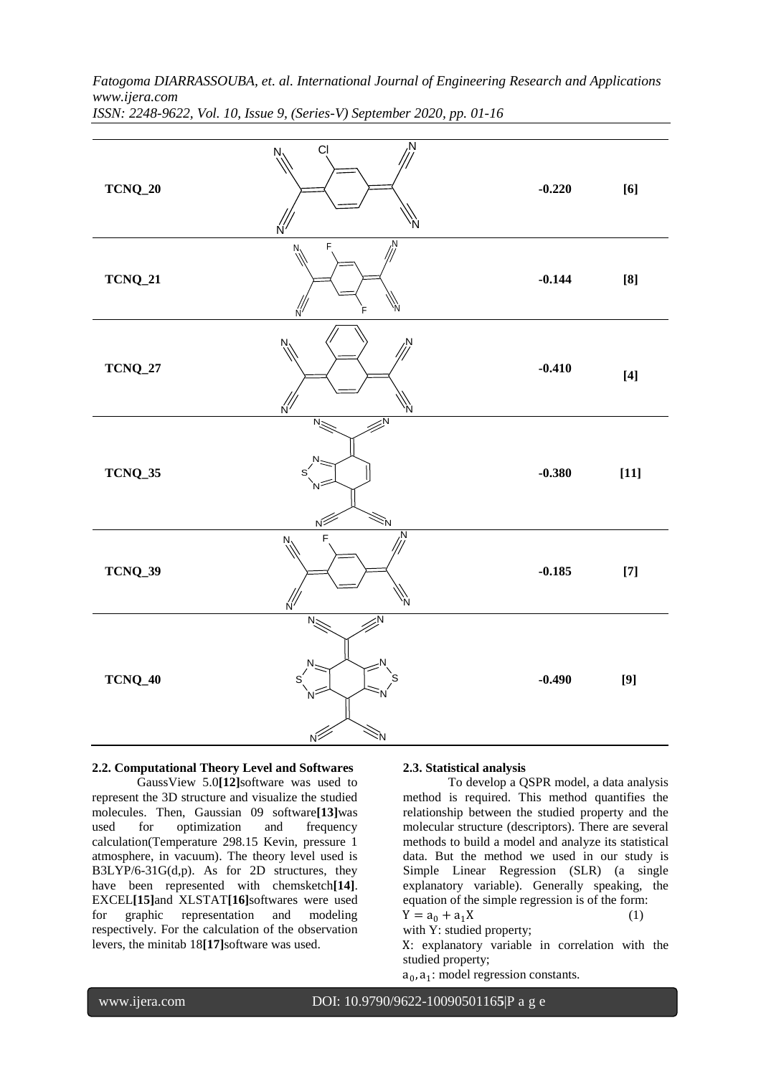| $TCNQ\_20$     | Ν<br><b>CI</b><br>Ņ<br>Ń | $-0.220$ | $\left[ 6\right]$                                                                                                                                                                                                                                                                                                                                                                                                                                                                                                                                                                                                                                                                                                                                                     |
|----------------|--------------------------|----------|-----------------------------------------------------------------------------------------------------------------------------------------------------------------------------------------------------------------------------------------------------------------------------------------------------------------------------------------------------------------------------------------------------------------------------------------------------------------------------------------------------------------------------------------------------------------------------------------------------------------------------------------------------------------------------------------------------------------------------------------------------------------------|
| $TCNQ_21$      | N<br>N.                  | $-0.144$ | $\left[ 8\right]$                                                                                                                                                                                                                                                                                                                                                                                                                                                                                                                                                                                                                                                                                                                                                     |
| $TCNQ\_27$     | N                        | $-0.410$ | $[4] \centering% \includegraphics[width=1\textwidth]{images/TransY.pdf} \caption{The first two different values of $d$ and $d$ are the same as in Figure \ref{fig:map}(a) and the second two different values of $d$ are the same as in Figure \ref{fig:map}(b) and the third two different values of $d$ are the same as in Figure \ref{fig:map}(c) and the third two different values of $d$ are the same as in Figure \ref{fig:map}(d) and the third two different values of $d$ are the same as in Figure \ref{fig:map}(e) and the third two different values of $d$ are the same as in Figure \ref{fig:map}(d) and the third two different values of $d$ are the same as inFigure \ref{fig:map}(e) and the third two different values of $d$ are the same as in$ |
| $TCNQ_35$      | ŠN.<br>ΝŹ                | $-0.380$ | $\left[ 11\right]$                                                                                                                                                                                                                                                                                                                                                                                                                                                                                                                                                                                                                                                                                                                                                    |
| <b>TCNQ_39</b> | Ņ<br>F<br>N<br>N<br>N    | $-0.185$ | $[7] \centering% \includegraphics[width=1\textwidth]{images/TransY.pdf} \caption{The first two different values of $d=3$ and $d=4$ (left) and the second term (right) of $d=4$ (right) and $d=4$ (right) and $d=4$ (right) and $d=4$ (right) and $d=4$ (right) and $d=4$ (right) and $d=4$ (right) and $d=4$ (right) and $d=4$ (right) and $d=4$ (right) and $d=4$ (right) and $d=4$ (right) and $d=4$ (right) and $d=4$ (right) and $d=4$ (right) and $d=4$ (right) and $d=4$ (right) and $d=4$ (right) and $d=$                                                                                                                                                                                                                                                     |
| <b>TCNQ_40</b> | $N_{\leq}$<br>$N^2$      | $-0.490$ | $[9] % \begin{center} \includegraphics[width=\linewidth]{imagesSupplemental/Imers.png} \end{center} % \vspace*{-1em} \caption{The image shows the number of parameters of the estimators in the left and right.} \label{fig:limall}$                                                                                                                                                                                                                                                                                                                                                                                                                                                                                                                                  |

# **2.2. Computational Theory Level and Softwares**

GaussView 5.0**[12]**software was used to represent the 3D structure and visualize the studied molecules. Then, Gaussian 09 software**[13]**was used for optimization and frequency calculation(Temperature 298.15 Kevin, pressure 1 atmosphere, in vacuum). The theory level used is B3LYP/6-31G(d,p). As for 2D structures, they have been represented with chemsketch**[14]**. EXCEL**[15]**and XLSTAT**[16]**softwares were used for graphic representation and modeling respectively. For the calculation of the observation levers, the minitab 18**[17]**software was used.

#### **2.3. Statistical analysis**

To develop a QSPR model, a data analysis method is required. This method quantifies the relationship between the studied property and the molecular structure (descriptors). There are several methods to build a model and analyze its statistical data. But the method we used in our study is Simple Linear Regression (SLR) (a single explanatory variable). Generally speaking, the equation of the simple regression is of the form:  $Y = a_0 + a_1 X$  (1)

with Y: studied property;

X: explanatory variable in correlation with the studied property;

 $a_0$ ,  $a_1$ : model regression constants.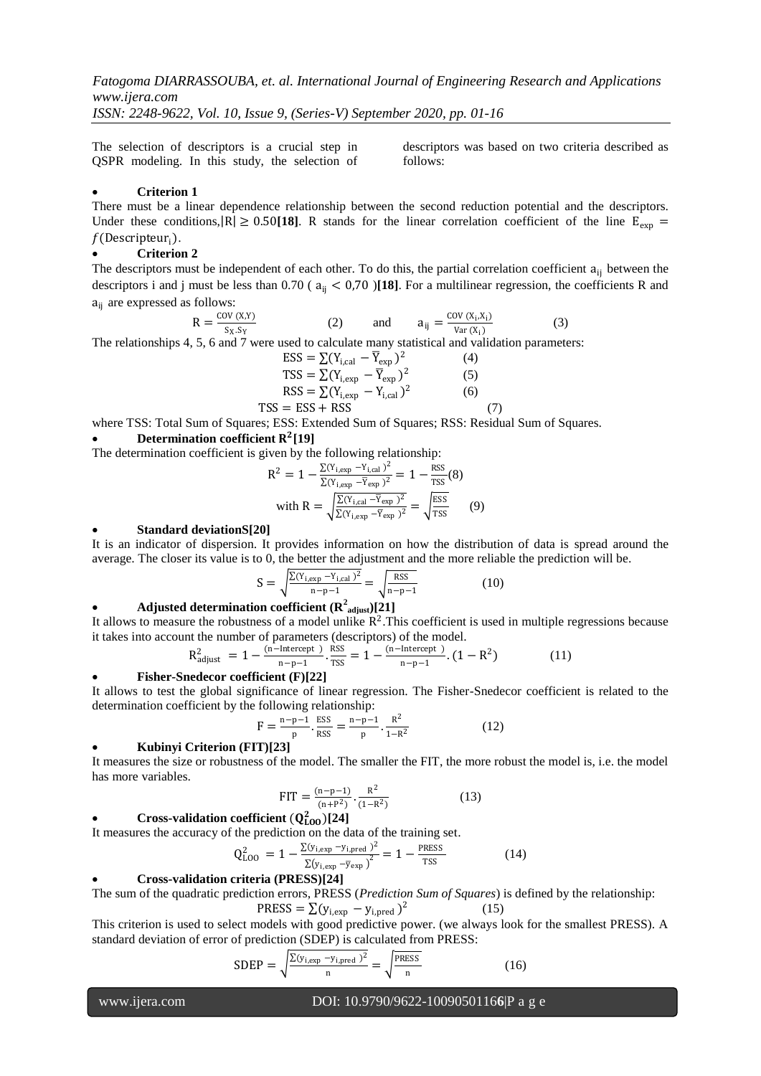*ISSN: 2248-9622, Vol. 10, Issue 9, (Series-V) September 2020, pp. 01-16*

The selection of descriptors is a crucial step in QSPR modeling. In this study, the selection of

descriptors was based on two criteria described as follows:

# **Criterion 1**

There must be a linear dependence relationship between the second reduction potential and the descriptors. Under these conditions,  $|R| \ge 0.50$  [18]. R stands for the linear correlation coefficient of the line  $E_{\text{evn}} =$  $f$ (Descripteur<sub>i</sub>).

## **Criterion 2**

The descriptors must be independent of each other. To do this, the partial correlation coefficient a<sub>ij</sub> between the descriptors i and j must be less than  $0.70$  ( $a_{ii} < 0.70$ )[18]. For a multilinear regression, the coefficients R and aij are expressed as follows:

$$
R = \frac{\text{cov}(x, y)}{s_x s_y}
$$
 (2) and  $a_{ij} = \frac{\text{cov}(x_i, x_i)}{v_{\text{ar}}(x_i)}$  (3)

The relationships 4, 5, 6 and 7 were used to calculate many statistical and validation parameters:

$$
ESS = \sum (Y_{i,cal} - \overline{Y}_{exp})^2
$$
(4)  
\n
$$
TSS = \sum (Y_{i,exp} - \overline{Y}_{exp})^2
$$
(5)  
\n
$$
RSS = \sum (Y_{i,exp} - Y_{i,cal})^2
$$
(6)  
\n
$$
TSS = ESS + RSS
$$
(7)

where TSS: Total Sum of Squares; ESS: Extended Sum of Squares; RSS: Residual Sum of Squares.

# • Determination coefficient R<sup>2</sup>[19]

The determination coefficient is given by the following relationship:

$$
R^{2} = 1 - \frac{\Sigma(Y_{i,exp} - Y_{i,cal})^{2}}{\Sigma(Y_{i,exp} - \overline{Y}_{exp})^{2}} = 1 - \frac{RSS}{TSS}(8)
$$
  
with 
$$
R = \sqrt{\frac{\Sigma(Y_{i,cal} - \overline{Y}_{exp})^{2}}{\Sigma(Y_{i,exp} - \overline{Y}_{exp})^{2}}} = \sqrt{\frac{ESS}{TSS}}
$$
(9)

#### **Standard deviationS[20]**

It is an indicator of dispersion. It provides information on how the distribution of data is spread around the average. The closer its value is to 0, the better the adjustment and the more reliable the prediction will be.

$$
S = \sqrt{\frac{\Sigma (Y_{i,exp} - Y_{i,cal})^2}{n - p - 1}} = \sqrt{\frac{\text{RSS}}{n - p - 1}}
$$
(10)

# • **Adjusted determination coefficient (** $\mathbb{R}^2$ **<sub>adjust</sub>)[21]**

It allows to measure the robustness of a model unlike  $R^2$ . This coefficient is used in multiple regressions because it takes into account the number of parameters (descriptors) of the model.

$$
R_{\text{adjust}}^2 = 1 - \frac{(n-\text{Intercept})}{n-p-1} \cdot \frac{RSS}{TSS} = 1 - \frac{(n-\text{Intercept})}{n-p-1} \cdot (1 - R^2)
$$
 (11)

#### **Fisher-Snedecor coefficient (F)[22]**

It allows to test the global significance of linear regression. The Fisher-Snedecor coefficient is related to the determination coefficient by the following relationship:

$$
F = \frac{n - p - 1}{p} \cdot \frac{ESS}{RSS} = \frac{n - p - 1}{p} \cdot \frac{R^2}{1 - R^2}
$$
 (12)

# **Kubinyi Criterion (FIT)[23]**

It measures the size or robustness of the model. The smaller the FIT, the more robust the model is, i.e. the model has more variables.

$$
FIT = \frac{(n-p-1)}{(n+P^2)} \cdot \frac{R^2}{(1-R^2)}
$$
 (13)

# • **Cross-validation coefficient**  $(Q_{LOO}^2)[24]$

It measures the accuracy of the prediction on the data of the training set.

$$
Q_{L00}^2 = 1 - \frac{\Sigma(y_{i,exp} - y_{i,pred})^2}{\Sigma(y_{i,exp} - \overline{y}_{exp})^2} = 1 - \frac{p_{RESS}}{TSS}
$$
 (14)

# **Cross-validation criteria (PRESS)[24]**

The sum of the quadratic prediction errors, PRESS (*Prediction Sum of Squares*) is defined by the relationship:

$$
PRESS = \sum (y_{i,exp} - y_{i,pred})^2
$$

This criterion is used to select models with good predictive power. (we always look for the smallest PRESS). A standard deviation of error of prediction (SDEP) is calculated from PRESS:

$$
SDEP = \sqrt{\frac{\Sigma (y_{i,exp} - y_{i,pred})^2}{n}} = \sqrt{\frac{PRESS}{n}}
$$
 (16)

(15)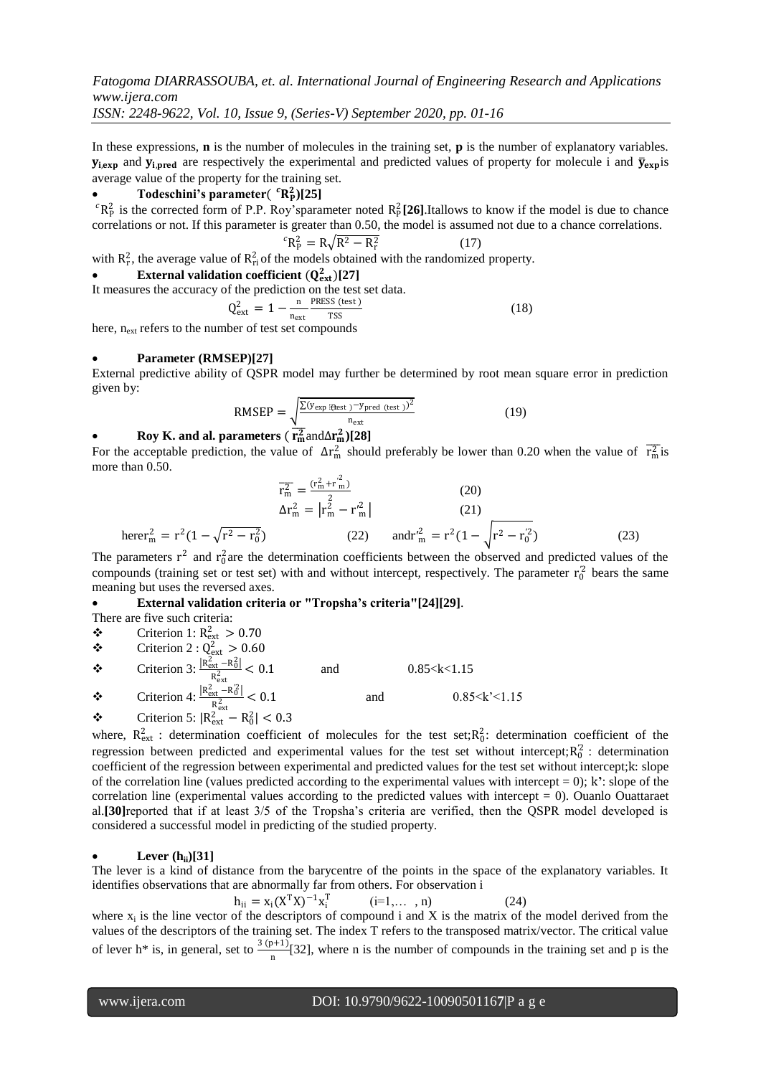In these expressions, **n** is the number of molecules in the training set, **p** is the number of explanatory variables.  $y_{i, \text{exp}}$  and  $y_{i, \text{pred}}$  are respectively the experimental and predicted values of property for molecule i and  $\bar{y}_{\text{exp}}$  is average value of the property for the training set.

# • Todeschini's parameter( ${}^{c}R_{P}^{2}$ )[25]

 ${}^cR_P^2$  is the corrected form of P.P. Roy'sparameter noted  $R_P^2$  [26].Itallows to know if the model is due to chance correlations or not. If this parameter is greater than 0.50, the model is assumed not due to a chance correlations.

$$
{}^{c}R_{P}^{2} = R\sqrt{R^{2} - R_{r}^{2}} \tag{17}
$$

with  $R_r^2$ , the average value of  $R_{ri}^2$  of the models obtained with the randomized property.

• **External validation coefficient**  $(Q_{ext}^2)[27]$ It measures the accuracy

of the prediction on the test set data.  
\n
$$
Q_{\text{ext}}^2 = 1 - \frac{n}{n_{\text{ext}}} \frac{\text{PRESS (test)}}{\text{TSS}}
$$
\nwhere of test set compounds

here, n<sub>ext</sub> refers to the number of test set compounds

# **Parameter (RMSEP)[27]**

External predictive ability of QSPR model may further be determined by root mean square error in prediction given by:

$$
RMSEP = \sqrt{\frac{\Sigma(y_{exp} \text{ [ftest })^{-y_{pred}} (\text{test }))^2}{n_{ext}}}
$$
 (19)

# **•** Roy K. and al. parameters ( $\overline{r_m^2}$ and $\Delta r_m^2$ )[28]

For the acceptable prediction, the value of  $\Delta r_m^2$  should preferably be lower than 0.20 when the value of  $\overline{r_m^2}$  is more than 0.50.

$$
\overline{r_m^2} = \frac{(r_m^2 + r_m^2)}{2}
$$
 (20)  
\n
$$
\Delta r_m^2 = |r_m^2 - r_m^2|
$$
 (21)  
\nherer<sup>2</sup><sub>m</sub> = r<sup>2</sup>(1 - \sqrt{r^2 - r\_0^2}) (22) and r<sup>2</sup><sub>m</sub> = r<sup>2</sup>(1 - \sqrt{r^2 - r\_0^2}) (23)

The parameters  $r^2$  and  $r_0^2$  are the determination coefficients between the observed and predicted values of the compounds (training set or test set) with and without intercept, respectively. The parameter  $r_0^2$  bears the same meaning but uses the reversed axes.

# **External validation criteria or "Tropsha's criteria"[24][29]**.

There are five such criteria:

- $\div$  Criterion 2 :  $Q_{ext}^2 > 0.60$
- $\bullet$  Criterion 3:  $\frac{R_{\text{ext}}^2 R_0^2}{R_2^2}$  $R_{\text{ext}}^{\text{ext}}$  < 0.1 and 0.85 < k < 1.15  $\bullet$  Criterion 4:  $\frac{R_{\text{ext}}^2 - R_0^2}{R_2^2}$  $R_{\text{ext}}^{\frac{\text{ext}}{-\text{RQ}}} < 0.1$  and  $0.85 \leq k' \leq 1.15$

$$
\text{~~Criterion 5: } |R_{\text{ext}}^2 - R_0^2| < 0.3
$$

where,  $R_{ext}^2$ : determination coefficient of molecules for the test set;  $R_0^2$ : determination coefficient of the regression between predicted and experimental values for the test set without intercept; $R_0^2$ : determination coefficient of the regression between experimental and predicted values for the test set without intercept;k: slope of the correlation line (values predicted according to the experimental values with intercept  $= 0$ ); k<sup>2</sup>: slope of the correlation line (experimental values according to the predicted values with intercept = 0). Ouanlo Ouattaraet al.**[30]**reported that if at least 3/5 of the Tropsha's criteria are verified, then the QSPR model developed is considered a successful model in predicting of the studied property.

# **Lever (hii)[31]**

The lever is a kind of distance from the barycentre of the points in the space of the explanatory variables. It identifies observations that are abnormally far from others. For observation i

 $h_{ii} = x_i (X^T X)^{-1} x_i^T$  $(i=1,..., n)$  (24) where  $x_i$  is the line vector of the descriptors of compound i and X is the matrix of the model derived from the values of the descriptors of the training set. The index T refers to the transposed matrix/vector. The critical value of lever h<sup>\*</sup> is, in general, set to  $\frac{3(p+1)}{n}$ [32], where n is the number of compounds in the training set and p is the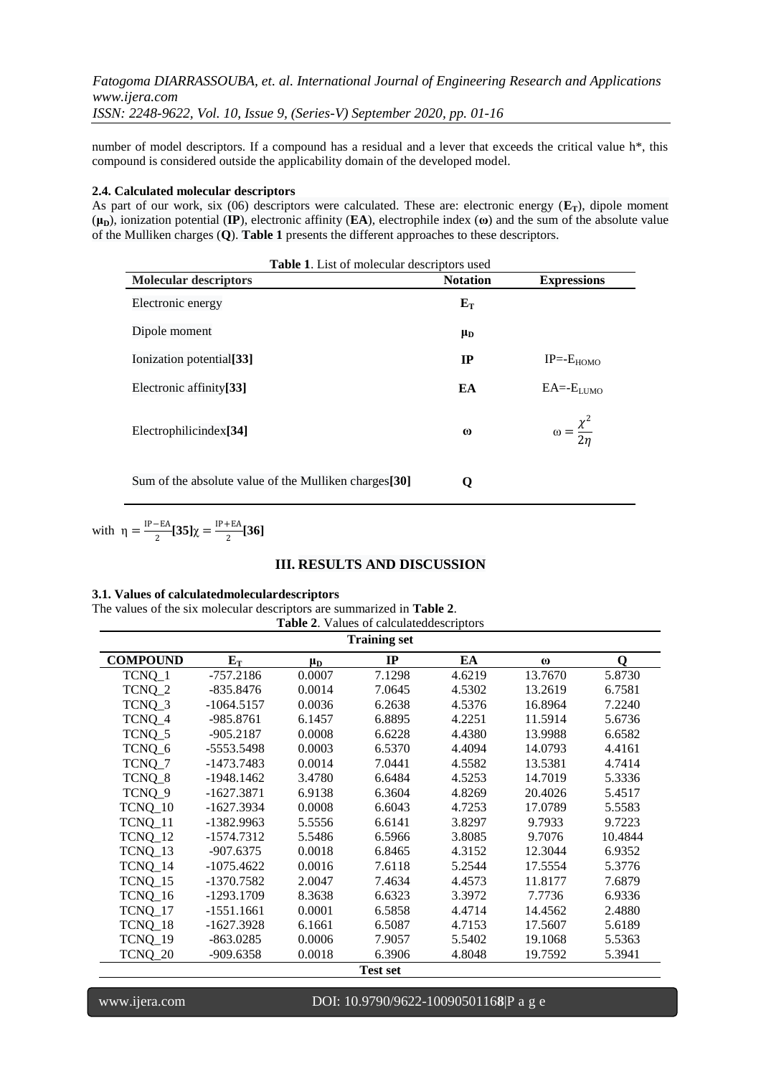number of model descriptors. If a compound has a residual and a lever that exceeds the critical value h\*, this compound is considered outside the applicability domain of the developed model.

#### **2.4. Calculated molecular descriptors**

As part of our work, six (06) descriptors were calculated. These are: electronic energy (**ET**), dipole moment  $(\mu_{\text{D}})$ , ionization potential (**IP**), electronic affinity (**EA**), electrophile index  $(\omega)$  and the sum of the absolute value of the Mulliken charges (**Q**). **Table 1** presents the different approaches to these descriptors.

| <b>Table 1.</b> List of molecular descriptors used     |                 |                                 |  |  |
|--------------------------------------------------------|-----------------|---------------------------------|--|--|
| <b>Molecular descriptors</b>                           | <b>Notation</b> | <b>Expressions</b>              |  |  |
| Electronic energy                                      | $E_T$           |                                 |  |  |
| Dipole moment                                          | $\mu_{\rm D}$   |                                 |  |  |
| Ionization potential <sup>[33]</sup>                   | IP              | $IP = -E_{HOMO}$                |  |  |
| Electronic affinity <sup>[33]</sup>                    | EA              | $EA = ELUMO$                    |  |  |
| Electrophilicindex <sup>[34]</sup>                     | $\omega$        | $\omega = \frac{\chi^2}{2\eta}$ |  |  |
| Sum of the absolute value of the Mulliken charges [30] | O               |                                 |  |  |

with 
$$
\eta = \frac{\text{IP}-\text{EA}}{2} [35] \chi = \frac{\text{IP}+\text{EA}}{2} [36]
$$

# **III. RESULTS AND DISCUSSION**

## **3.1. Values of calculatedmoleculardescriptors**

The values of the six molecular descriptors are summarized in **Table 2**. **Table 2**. Values of calculateddescriptors

| <b>Training set</b> |              |           |        |        |          |         |
|---------------------|--------------|-----------|--------|--------|----------|---------|
| <b>COMPOUND</b>     | $E_T$        | $\mu_{D}$ | IP     | EA     | $\omega$ | 0       |
| TCNQ_1              | $-757.2186$  | 0.0007    | 7.1298 | 4.6219 | 13.7670  | 5.8730  |
| TCNQ_2              | $-835.8476$  | 0.0014    | 7.0645 | 4.5302 | 13.2619  | 6.7581  |
| TCNQ_3              | $-1064.5157$ | 0.0036    | 6.2638 | 4.5376 | 16.8964  | 7.2240  |
| TCNQ_4              | -985.8761    | 6.1457    | 6.8895 | 4.2251 | 11.5914  | 5.6736  |
| TCNQ_5              | -905.2187    | 0.0008    | 6.6228 | 4.4380 | 13.9988  | 6.6582  |
| TCNQ_6              | $-5553.5498$ | 0.0003    | 6.5370 | 4.4094 | 14.0793  | 4.4161  |
| TCNQ_7              | -1473.7483   | 0.0014    | 7.0441 | 4.5582 | 13.5381  | 4.7414  |
| TCNQ_8              | $-1948.1462$ | 3.4780    | 6.6484 | 4.5253 | 14.7019  | 5.3336  |
| TCNQ 9              | $-1627.3871$ | 6.9138    | 6.3604 | 4.8269 | 20.4026  | 5.4517  |
| TCNQ_10             | $-1627.3934$ | 0.0008    | 6.6043 | 4.7253 | 17.0789  | 5.5583  |
| TCNQ 11             | $-1382.9963$ | 5.5556    | 6.6141 | 3.8297 | 9.7933   | 9.7223  |
| TCNQ_12             | $-1574.7312$ | 5.5486    | 6.5966 | 3.8085 | 9.7076   | 10.4844 |
| TCNQ_13             | $-907.6375$  | 0.0018    | 6.8465 | 4.3152 | 12.3044  | 6.9352  |
| TCNQ 14             | $-1075.4622$ | 0.0016    | 7.6118 | 5.2544 | 17.5554  | 5.3776  |
| TCNQ_15             | $-1370.7582$ | 2.0047    | 7.4634 | 4.4573 | 11.8177  | 7.6879  |
| TCNQ_16             | $-1293.1709$ | 8.3638    | 6.6323 | 3.3972 | 7.7736   | 6.9336  |
| TCNQ_17             | $-1551.1661$ | 0.0001    | 6.5858 | 4.4714 | 14.4562  | 2.4880  |
| TCNQ_18             | $-1627.3928$ | 6.1661    | 6.5087 | 4.7153 | 17.5607  | 5.6189  |
| TCNQ_19             | $-863.0285$  | 0.0006    | 7.9057 | 5.5402 | 19.1068  | 5.5363  |
| TCNQ_20             | -909.6358    | 0.0018    | 6.3906 | 4.8048 | 19.7592  | 5.3941  |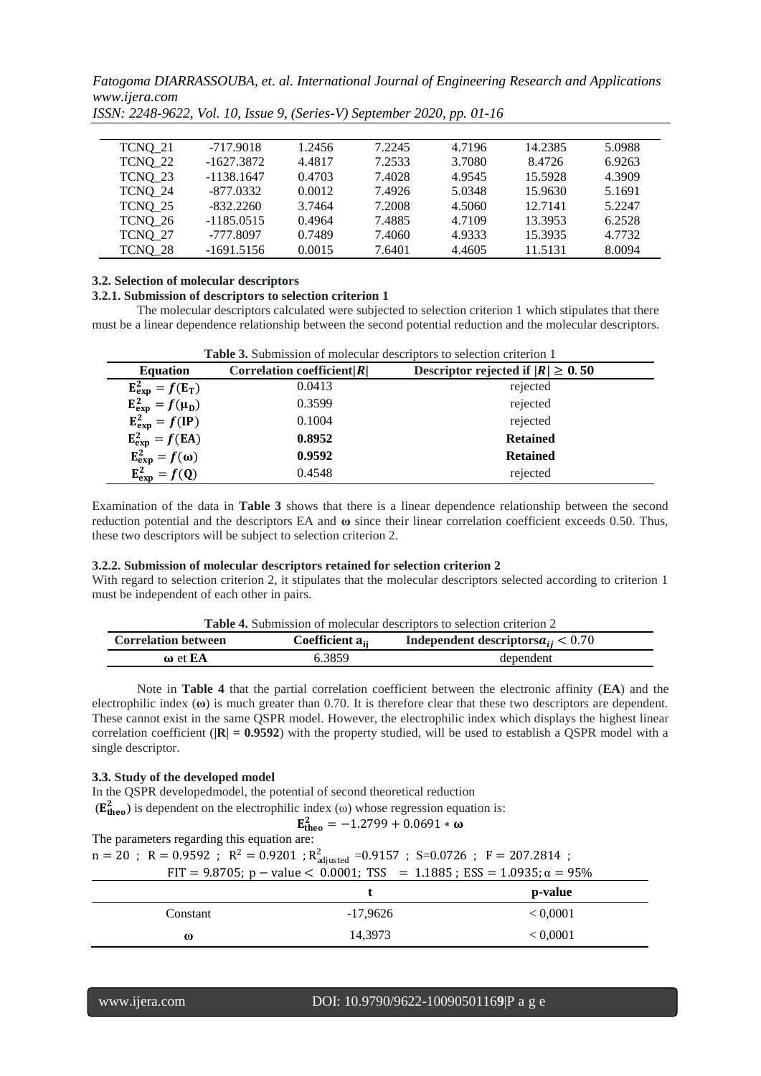| TCNO 21 | $-717.9018$  | 1.2456 | 7.2245 | 4.7196 | 14.2385 | 5.0988 |
|---------|--------------|--------|--------|--------|---------|--------|
| TCNQ 22 | $-1627.3872$ | 4.4817 | 7.2533 | 3.7080 | 8.4726  | 6.9263 |
| TCNO 23 | $-1138.1647$ | 0.4703 | 7.4028 | 4.9545 | 15.5928 | 4.3909 |
| TCNQ 24 | $-877.0332$  | 0.0012 | 7.4926 | 5.0348 | 15.9630 | 5.1691 |
| TCNQ 25 | $-832.2260$  | 3.7464 | 7.2008 | 4.5060 | 12.7141 | 5.2247 |
| TCNQ 26 | $-1185.0515$ | 0.4964 | 7.4885 | 4.7109 | 13.3953 | 6.2528 |
| TCNO 27 | $-777.8097$  | 0.7489 | 7.4060 | 4.9333 | 15.3935 | 4.7732 |
| TCNQ 28 | $-1691.5156$ | 0.0015 | 7.6401 | 4.4605 | 11.5131 | 8.0094 |

*ISSN: 2248-9622, Vol. 10, Issue 9, (Series-V) September 2020, pp. 01-16*

# **3.2. Selection of molecular descriptors**

#### **3.2.1. Submission of descriptors to selection criterion 1**

The molecular descriptors calculated were subjected to selection criterion 1 which stipulates that there must be a linear dependence relationship between the second potential reduction and the molecular descriptors.

| Table 3. Submission of molecular descriptors to selection criterion 1 |                               |                                       |  |
|-----------------------------------------------------------------------|-------------------------------|---------------------------------------|--|
| <b>Equation</b>                                                       | Correlation coefficient $ R $ | Descriptor rejected if $ R  \ge 0.50$ |  |
| $E_{exp}^2 = f(E_T)$                                                  | 0.0413                        | rejected                              |  |
| $E_{exp}^2 = f(\mu_D)$                                                | 0.3599                        | rejected                              |  |
| $E_{exp}^2 = f(IP)$                                                   | 0.1004                        | rejected                              |  |
| $E_{exp}^2 = f(EA)$                                                   | 0.8952                        | <b>Retained</b>                       |  |
| $E_{exp}^2 = f(\omega)$                                               | 0.9592                        | <b>Retained</b>                       |  |
| $E_{exp}^2 = f(Q)$                                                    | 0.4548                        | rejected                              |  |

Examination of the data in **Table 3** shows that there is a linear dependence relationship between the second reduction potential and the descriptors EA and **ω** since their linear correlation coefficient exceeds 0.50. Thus, these two descriptors will be subject to selection criterion 2.

#### **3.2.2. Submission of molecular descriptors retained for selection criterion 2**

With regard to selection criterion 2, it stipulates that the molecular descriptors selected according to criterion 1 must be independent of each other in pairs.

| <b>Correlation between</b> | Coefficient a <sub>u</sub> | Independent descriptors $a_{ii} < 0.70$ |
|----------------------------|----------------------------|-----------------------------------------|
| $\omega$ et EA             | 6.3859                     | dependent                               |

Note in **Table 4** that the partial correlation coefficient between the electronic affinity (**EA**) and the electrophilic index (**ω**) is much greater than 0.70. It is therefore clear that these two descriptors are dependent. These cannot exist in the same QSPR model. However, the electrophilic index which displays the highest linear correlation coefficient (**|R| = 0.9592**) with the property studied, will be used to establish a QSPR model with a single descriptor.

#### **3.3. Study of the developed model**

In the QSPR developedmodel, the potential of second theoretical reduction

(
$$
\mathbf{E_{theo}^2}
$$
) is dependent on the electrophilic index ( $\omega$ ) whose regression equation is:

$$
\mathbf{E_{theo}^{2}} = -1.2799 + 0.0691 * \omega
$$

The parameters regarding this equation are:  $n = 20$ ;  $R = 0.9592$ ;  $R^2 = 0.9201$ ;  $R^2_{\text{adjusted}} = 0.9157$ ;  $S = 0.0726$ ;  $F = 207.2814$ ; FIT = 9.8705; p – value < 0.0001; TSS = 1.1885; ESS = 1.0935;  $\alpha = 95\%$ **t p-value**

|          |            | p-value  |
|----------|------------|----------|
| Constant | $-17,9626$ | < 0.0001 |
| $\omega$ | 14,3973    | < 0,0001 |
|          |            |          |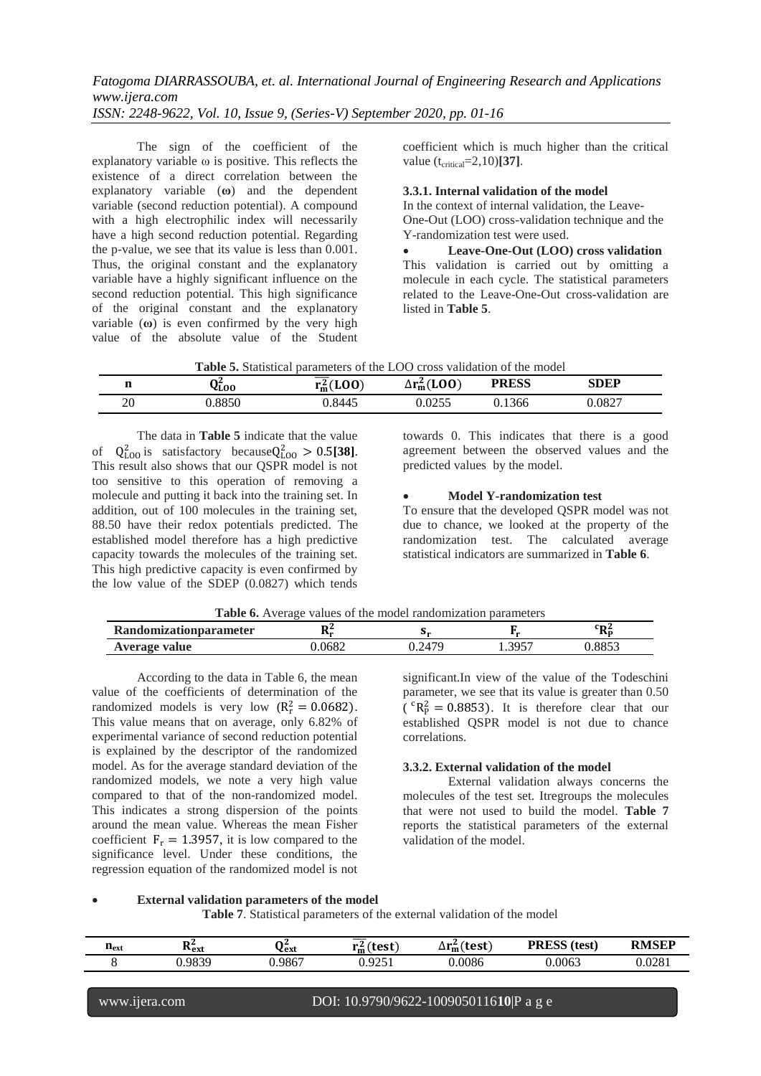The sign of the coefficient of the explanatory variable ω is positive. This reflects the existence of a direct correlation between the explanatory variable (**ω**) and the dependent variable (second reduction potential). A compound with a high electrophilic index will necessarily have a high second reduction potential. Regarding the p-value, we see that its value is less than 0.001. Thus, the original constant and the explanatory variable have a highly significant influence on the second reduction potential. This high significance of the original constant and the explanatory variable (**ω**) is even confirmed by the very high value of the absolute value of the Student

coefficient which is much higher than the critical value  $(t_{\text{critical}}=2,10)$ **[37]**.

**3.3.1. Internal validation of the model**

In the context of internal validation, the Leave-One-Out (LOO) cross-validation technique and the Y-randomization test were used.

 **Leave-One-Out (LOO) cross validation** This validation is carried out by omitting a molecule in each cycle. The statistical parameters related to the Leave-One-Out cross-validation are listed in **Table 5**.

|  | Table 5. Statistical parameters of the LOO cross validation of the model |
|--|--------------------------------------------------------------------------|
|--|--------------------------------------------------------------------------|

|    | YLOO    | (LOO)<br>мL<br>'m | (100)<br>$\Delta r_{\rm m}^2$ (LOO | <b>PRESS</b> | SDEP   |
|----|---------|-------------------|------------------------------------|--------------|--------|
| 20 | ـ 8850/ | 0.8445            | 0255<br>0.0255                     | 0.1366       | 0.0827 |

The data in **Table 5** indicate that the value of  $Q_{L00}^2$  is satisfactory because $Q_{L00}^2 > 0.5$ [38]. This result also shows that our QSPR model is not too sensitive to this operation of removing a molecule and putting it back into the training set. In addition, out of 100 molecules in the training set, 88.50 have their redox potentials predicted. The established model therefore has a high predictive capacity towards the molecules of the training set. This high predictive capacity is even confirmed by the low value of the SDEP (0.0827) which tends

towards 0. This indicates that there is a good agreement between the observed values and the predicted values by the model.

# **Model Y-randomization test**

To ensure that the developed QSPR model was not due to chance, we looked at the property of the randomization test. The calculated average statistical indicators are summarized in **Table 6**.

| <b>Table 6.</b> Average values of the model randomization parameters |  |
|----------------------------------------------------------------------|--|
|                                                                      |  |

| <b>Randomizationparameter</b> | ∍ר<br>ANT. | .      |                       | üπΖ<br>Rп   |
|-------------------------------|------------|--------|-----------------------|-------------|
| Average value                 | .0682      | J.2479 | 3057<br>1.J <i>JJ</i> | 0052<br>രാാ |

According to the data in Table 6, the mean value of the coefficients of determination of the randomized models is very low  $(R_r^2 = 0.0682)$ . This value means that on average, only 6.82% of experimental variance of second reduction potential is explained by the descriptor of the randomized model. As for the average standard deviation of the randomized models, we note a very high value compared to that of the non-randomized model. This indicates a strong dispersion of the points around the mean value. Whereas the mean Fisher coefficient  $F_r = 1.3957$ , it is low compared to the significance level. Under these conditions, the regression equation of the randomized model is not

significant.In view of the value of the Todeschini parameter, we see that its value is greater than 0.50  $({}^{c}R_{P}^{2} = 0.8853)$ . It is therefore clear that our established QSPR model is not due to chance correlations.

## **3.3.2. External validation of the model**

External validation always concerns the molecules of the test set. Itregroups the molecules that were not used to build the model. **Table 7** reports the statistical parameters of the external validation of the model.

#### **External validation parameters of the model**

**Table 7**. Statistical parameters of the external validation of the model

| $_{\rm 11ext}$ | <b>DA</b><br>$\mathbf{r}_{\text{ext}}$ | $\mathbf{a}$<br>∨ext | 'test<br>$\mathbf{r}_{\mathbf{m}}^2$ | $\Delta r_{\rm m}^2$ (test) | <b>PRESS</b> (test) | <b>RMSEP</b> |
|----------------|----------------------------------------|----------------------|--------------------------------------|-----------------------------|---------------------|--------------|
|                | 0.9839                                 | 0.9867               | 0.0251<br>⊥ ب⊿′                      | 0.0086                      | 0.0063              | 0.0281       |
|                |                                        |                      |                                      |                             |                     |              |

#### www.ijera.com DOI: 10.9790/9622-1009050116**10**|P a g e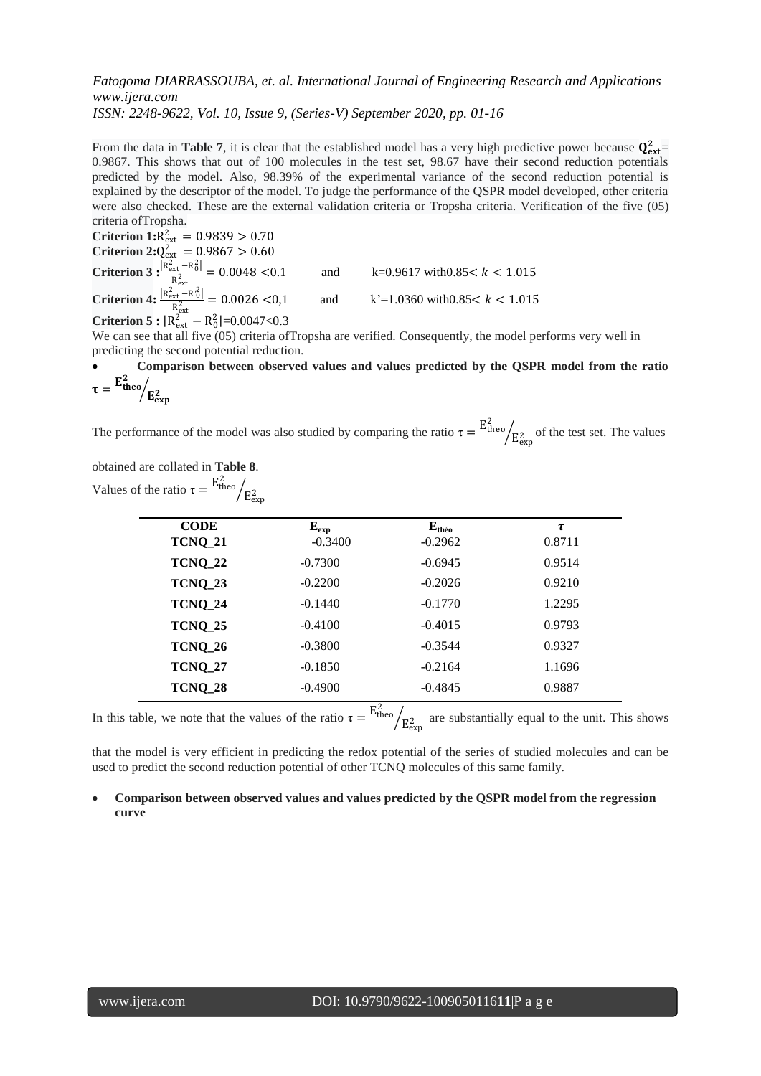From the data in **Table 7**, it is clear that the established model has a very high predictive power because  $Q_{ext}^2$ 0.9867. This shows that out of 100 molecules in the test set, 98.67 have their second reduction potentials predicted by the model. Also, 98.39% of the experimental variance of the second reduction potential is explained by the descriptor of the model. To judge the performance of the QSPR model developed, other criteria were also checked. These are the external validation criteria or Tropsha criteria. Verification of the five (05) criteria ofTropsha.

**Criterion**  $1:R_{\text{ext}}^2 = 0.9839 > 0.70$ **Criterion 2:** $Q_{\text{ext}}^2 = 0.9867 > 0.60$ **Criterion 3**  $\frac{R_{\text{ext}}^2 - R_0^2}{R_0^2}$  $R_{ext}^2$ and  $k=0.9617$  with $0.85 < k < 1.015$ **Criterion 4:**  $\frac{R_{\text{ext}}^2 - R_0^2}{R_0^2}$  $R_{ext}^2$ and  $k'=1.0360 \text{ with } 0.85 < k < 1.015$ 

**Criterion 5 :**  $|R_{ext}^2 - R_0^2| = 0.0047 < 0.3$ 

We can see that all five (05) criteria of Tropsha are verified. Consequently, the model performs very well in predicting the second potential reduction.

#### **Comparison between observed values and values predicted by the QSPR model from the ratio**   $\tau =$  ${\tt E_{theo}^2}$  $\sqrt{\mathrm{E_{exp}^{2}}}$

The performance of the model was also studied by comparing the ratio  $\tau = E_{\text{theo}}^2$  $\sqrt{\frac{E_{\text{exp}}^2}{E_{\text{exp}}^2}}$  of the test set. The values

| obtained are collated in <b>Table 8</b> .                               |  |
|-------------------------------------------------------------------------|--|
| values of the ratio $\tau = \frac{E_{\text{theo}}^2}{E_{\text{exp}}^2}$ |  |

| <b>CODE</b>    | $E_{exp}$ | $\mathbf{E}_{\text{theo}}$ | τ      |
|----------------|-----------|----------------------------|--------|
| <b>TCNQ_21</b> | $-0.3400$ | $-0.2962$                  | 0.8711 |
| <b>TCNQ_22</b> | $-0.7300$ | $-0.6945$                  | 0.9514 |
| <b>TCNQ_23</b> | $-0.2200$ | $-0.2026$                  | 0.9210 |
| <b>TCNQ_24</b> | $-0.1440$ | $-0.1770$                  | 1.2295 |
| <b>TCNQ_25</b> | $-0.4100$ | $-0.4015$                  | 0.9793 |
| TCNQ_26        | $-0.3800$ | $-0.3544$                  | 0.9327 |
| <b>TCNQ_27</b> | $-0.1850$ | $-0.2164$                  | 1.1696 |
| <b>TCNQ_28</b> | $-0.4900$ | $-0.4845$                  | 0.9887 |

In this table, we note that the values of the ratio  $\tau = E_{\text{theo}}^2$  $E_{\text{exp}}$  are substantially equal to the unit. This shows

that the model is very efficient in predicting the redox potential of the series of studied molecules and can be used to predict the second reduction potential of other TCNQ molecules of this same family.

# **Comparison between observed values and values predicted by the QSPR model from the regression curve**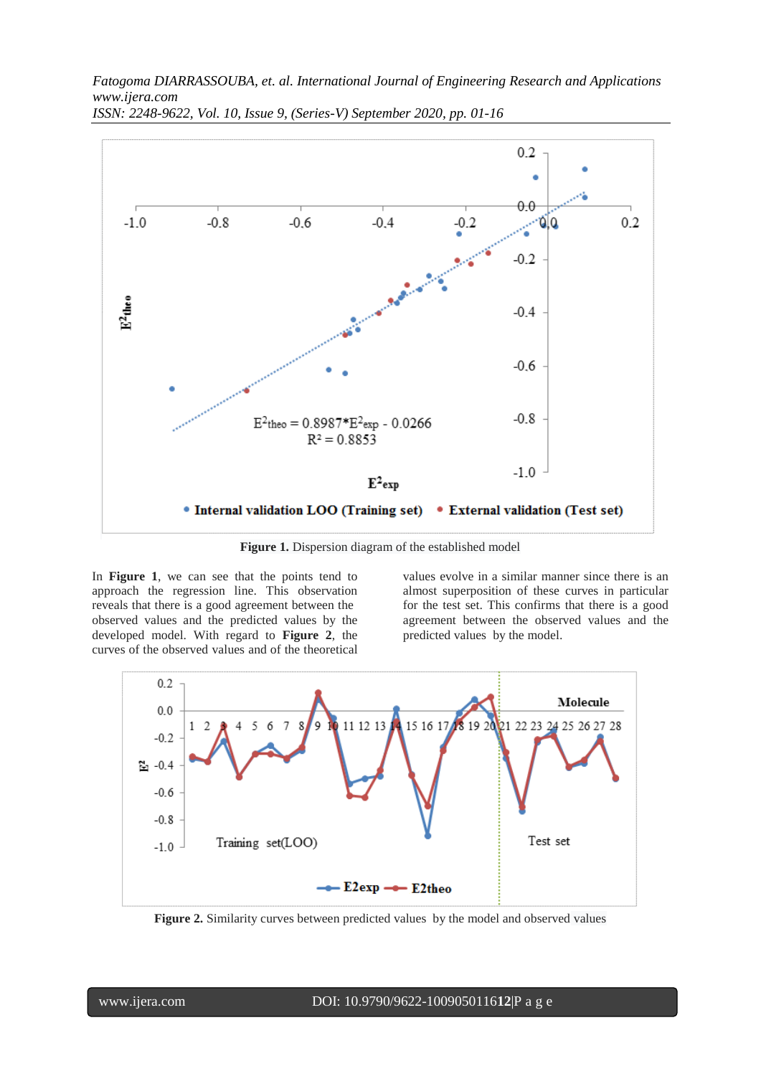

*ISSN: 2248-9622, Vol. 10, Issue 9, (Series-V) September 2020, pp. 01-16*

**Figure 1.** Dispersion diagram of the established model

In **Figure 1**, we can see that the points tend to approach the regression line. This observation reveals that there is a good agreement between the observed values and the predicted values by the developed model. With regard to **Figure 2**, the curves of the observed values and of the theoretical

values evolve in a similar manner since there is an almost superposition of these curves in particular for the test set. This confirms that there is a good agreement between the observed values and the predicted values by the model.



**Figure 2.** Similarity curves between predicted values by the model and observed values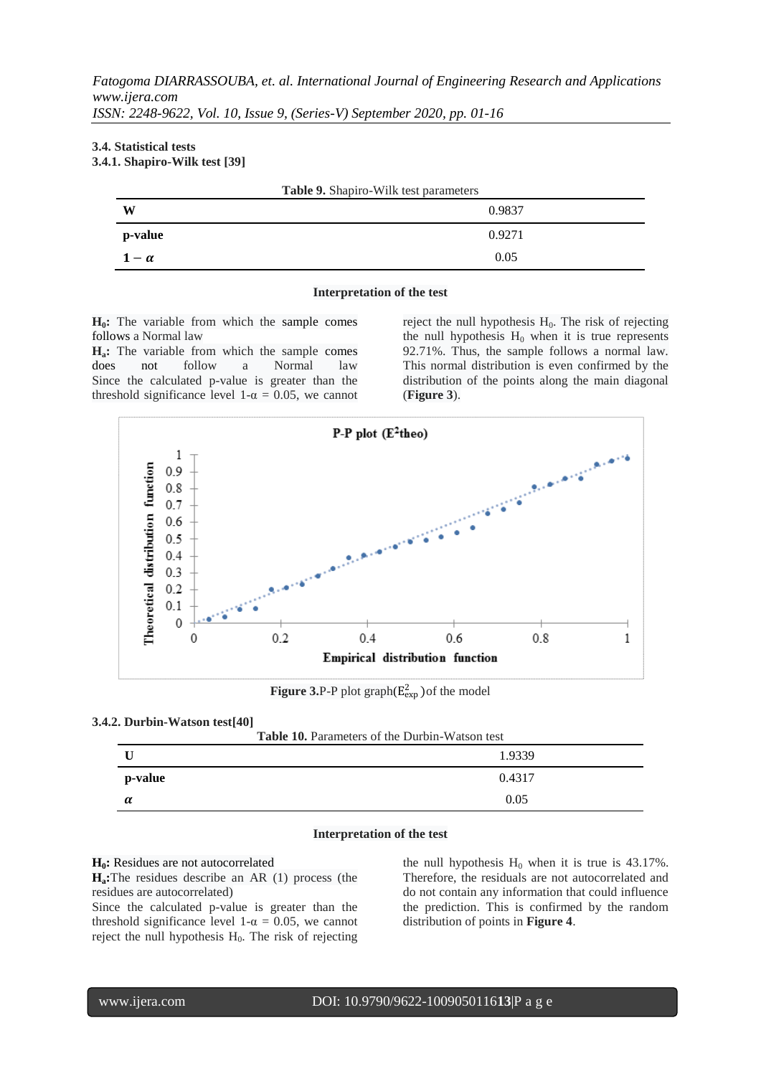## **3.4. Statistical tests 3.4.1. Shapiro-Wilk test [39]**

| Table 9. Shapiro-Wilk test parameters |        |  |
|---------------------------------------|--------|--|
| W                                     | 0.9837 |  |
| p-value                               | 0.9271 |  |
| $1-\alpha$                            | 0.05   |  |

#### **Interpretation of the test**

**H0:** The variable from which the sample comes follows a Normal law

**Ha:** The variable from which the sample comes does not follow a Normal law Since the calculated p-value is greater than the threshold significance level 1- $\alpha$  = 0.05, we cannot

reject the null hypothesis  $H_0$ . The risk of rejecting the null hypothesis  $H_0$  when it is true represents 92.71%. Thus, the sample follows a normal law. This normal distribution is even confirmed by the distribution of the points along the main diagonal (**Figure 3**).



**Figure 3.P-P** plot graph( $E_{exp}^2$ ) of the model

# **3.4.2. Durbin-Watson test[40]**

| <b>Table 10.</b> Parameters of the Durbin-Watson test |        |  |
|-------------------------------------------------------|--------|--|
|                                                       | 1.9339 |  |
| p-value                                               | 0.4317 |  |
| $\alpha$                                              | 0.05   |  |

#### **Interpretation of the test**

#### **H0:** Residues are not autocorrelated

**Ha:**The residues describe an AR (1) process (the residues are autocorrelated)

Since the calculated p-value is greater than the threshold significance level 1- $\alpha$  = 0.05, we cannot reject the null hypothesis  $H<sub>0</sub>$ . The risk of rejecting

the null hypothesis  $H_0$  when it is true is 43.17%. Therefore, the residuals are not autocorrelated and do not contain any information that could influence the prediction. This is confirmed by the random distribution of points in **Figure 4**.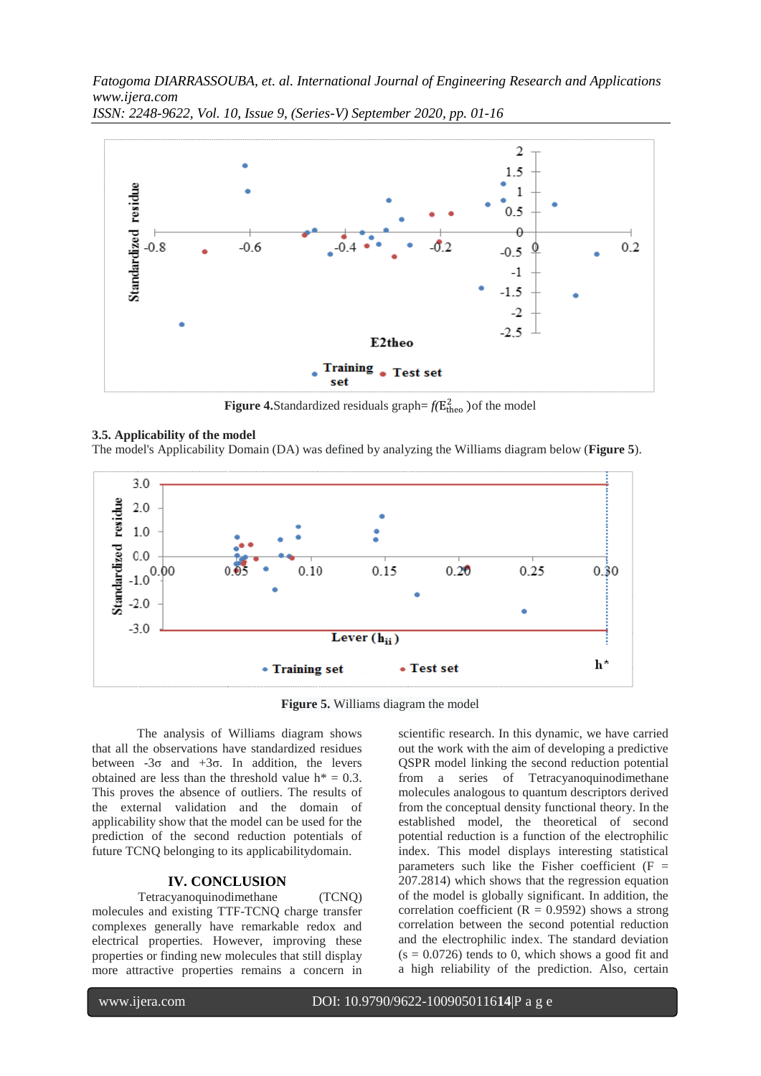

*ISSN: 2248-9622, Vol. 10, Issue 9, (Series-V) September 2020, pp. 01-16*

**Figure 4.**Standardized residuals graph= $f(E_{\text{theo}}^2)$  of the model

#### **3.5. Applicability of the model**

The model's Applicability Domain (DA) was defined by analyzing the Williams diagram below (**Figure 5**).



**Figure 5.** Williams diagram the model

The analysis of Williams diagram shows that all the observations have standardized residues between  $-3\sigma$  and  $+3\sigma$ . In addition, the levers obtained are less than the threshold value  $h^* = 0.3$ . This proves the absence of outliers. The results of the external validation and the domain of applicability show that the model can be used for the prediction of the second reduction potentials of future TCNQ belonging to its applicabilitydomain.

## **IV. CONCLUSION**

Tetracyanoquinodimethane (TCNQ) molecules and existing TTF-TCNQ charge transfer complexes generally have remarkable redox and electrical properties. However, improving these properties or finding new molecules that still display more attractive properties remains a concern in

scientific research. In this dynamic, we have carried out the work with the aim of developing a predictive QSPR model linking the second reduction potential from a series of Tetracyanoquinodimethane molecules analogous to quantum descriptors derived from the conceptual density functional theory. In the established model, the theoretical of second potential reduction is a function of the electrophilic index. This model displays interesting statistical parameters such like the Fisher coefficient  $(F =$ 207.2814) which shows that the regression equation of the model is globally significant. In addition, the correlation coefficient ( $R = 0.9592$ ) shows a strong correlation between the second potential reduction and the electrophilic index. The standard deviation  $(s = 0.0726)$  tends to 0, which shows a good fit and a high reliability of the prediction. Also, certain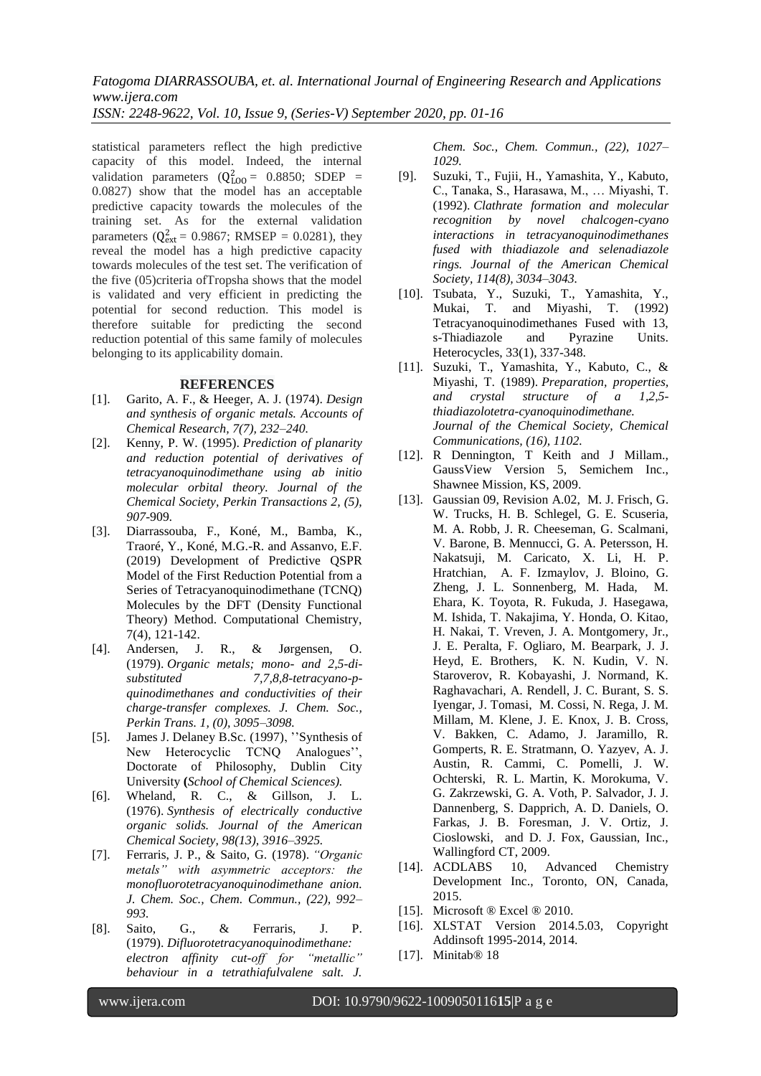statistical parameters reflect the high predictive capacity of this model. Indeed, the internal

validation parameters  $(Q_{LOO}^2 = 0.8850; SDEP =$ 0.0827) show that the model has an acceptable predictive capacity towards the molecules of the training set. As for the external validation parameters ( $Q_{ext}^2 = 0.9867$ ; RMSEP = 0.0281), they reveal the model has a high predictive capacity towards molecules of the test set. The verification of the five (05)criteria ofTropsha shows that the model is validated and very efficient in predicting the potential for second reduction. This model is therefore suitable for predicting the second reduction potential of this same family of molecules belonging to its applicability domain.

# **REFERENCES**

- [1]. Garito, A. F., & Heeger, A. J. (1974). *Design and synthesis of organic metals. Accounts of Chemical Research, 7(7), 232–240.*
- [2]. Kenny, P. W. (1995). *Prediction of planarity and reduction potential of derivatives of tetracyanoquinodimethane using ab initio molecular orbital theory. Journal of the Chemical Society, Perkin Transactions 2, (5), 907-*909*.*
- [3]. Diarrassouba, F., Koné, M., Bamba, K., Traoré, Y., Koné, M.G.-R. and Assanvo, E.F. (2019) Development of Predictive QSPR Model of the First Reduction Potential from a Series of Tetracyanoquinodimethane (TCNQ) Molecules by the DFT (Density Functional Theory) Method. Computational Chemistry, 7(4), 121-142.
- [4]. Andersen, J. R., & Jørgensen, O. (1979). *Organic metals; mono- and 2,5-disubstituted 7,7,8,8-tetracyano-pquinodimethanes and conductivities of their charge-transfer complexes. J. Chem. Soc., Perkin Trans. 1, (0), 3095–3098.*
- [5]. James J. Delaney B.Sc. (1997), ''Synthesis of New Heterocyclic TCNQ Analogues'', Doctorate of Philosophy, Dublin City University **(***School of Chemical Sciences).*
- [6]. Wheland, R. C., & Gillson, J. L. (1976). *Synthesis of electrically conductive organic solids. Journal of the American Chemical Society, 98(13), 3916–3925.*
- [7]. Ferraris, J. P., & Saito, G. (1978). *"Organic metals" with asymmetric acceptors: the monofluorotetracyanoquinodimethane anion. J. Chem. Soc., Chem. Commun., (22), 992– 993.*
- [8]. Saito, G., & Ferraris, J. P. (1979). *Difluorotetracyanoquinodimethane: electron affinity cut-off for "metallic" behaviour in a tetrathiafulvalene salt. J.*

*Chem. Soc., Chem. Commun., (22), 1027– 1029.*

- [9]. Suzuki, T., Fujii, H., Yamashita, Y., Kabuto, C., Tanaka, S., Harasawa, M., … Miyashi, T. (1992). *Clathrate formation and molecular recognition by novel chalcogen-cyano interactions in tetracyanoquinodimethanes fused with thiadiazole and selenadiazole rings. Journal of the American Chemical Society, 114(8), 3034–3043.*
- [10]. Tsubata, Y., Suzuki, T., Yamashita, Y., Mukai, T. and Miyashi, T. (1992) Tetracyanoquinodimethanes Fused with 13, s-Thiadiazole and Pyrazine Units. Heterocycles, 33(1), 337-348.
- [11]. Suzuki, T., Yamashita, Y., Kabuto, C., & Miyashi, T. (1989). *Preparation, properties, and crystal structure of a 1,2,5 thiadiazolotetra-cyanoquinodimethane. Journal of the Chemical Society, Chemical Communications, (16), 1102.*
- [12]. R Dennington, T Keith and J Millam., GaussView Version 5, Semichem Inc., Shawnee Mission, KS, 2009.
- [13]. Gaussian 09, Revision A.02, M. J. Frisch, G. W. Trucks, H. B. Schlegel, G. E. Scuseria, M. A. Robb, J. R. Cheeseman, G. Scalmani, V. Barone, B. Mennucci, G. A. Petersson, H. Nakatsuji, M. Caricato, X. Li, H. P. Hratchian, A. F. Izmaylov, J. Bloino, G. Zheng, J. L. Sonnenberg, M. Hada, M. Ehara, K. Toyota, R. Fukuda, J. Hasegawa, M. Ishida, T. Nakajima, Y. Honda, O. Kitao, H. Nakai, T. Vreven, J. A. Montgomery, Jr., J. E. Peralta, F. Ogliaro, M. Bearpark, J. J. Heyd, E. Brothers, K. N. Kudin, V. N. Staroverov, R. Kobayashi, J. Normand, K. Raghavachari, A. Rendell, J. C. Burant, S. S. Iyengar, J. Tomasi, M. Cossi, N. Rega, J. M. Millam, M. Klene, J. E. Knox, J. B. Cross, V. Bakken, C. Adamo, J. Jaramillo, R. Gomperts, R. E. Stratmann, O. Yazyev, A. J. Austin, R. Cammi, C. Pomelli, J. W. Ochterski, R. L. Martin, K. Morokuma, V. G. Zakrzewski, G. A. Voth, P. Salvador, J. J. Dannenberg, S. Dapprich, A. D. Daniels, O. Farkas, J. B. Foresman, J. V. Ortiz, J. Cioslowski, and D. J. Fox, Gaussian, Inc., Wallingford CT, 2009.
- [14]. ACDLABS 10, Advanced Chemistry Development Inc., Toronto, ON, Canada, 2015.
- [15]. Microsoft ® Excel ® 2010.
- [16]. XLSTAT Version 2014.5.03, Copyright Addinsoft 1995-2014, 2014.
- [17]. Minitab<sup>®</sup> 18